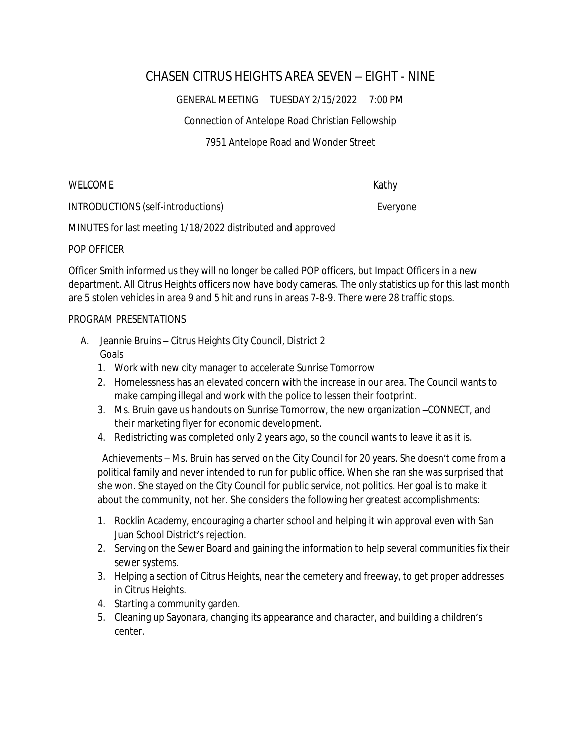## CHASEN CITRUS HEIGHTS AREA SEVEN – EIGHT - NINE

GENERAL MEETING TUESDAY 2/15/2022 7:00 PM

Connection of Antelope Road Christian Fellowship

7951 Antelope Road and Wonder Street

WELCOME Kathy

INTRODUCTIONS (self-introductions) example and the everyone expenditure of the everyone

MINUTES for last meeting 1/18/2022 distributed and approved

## POP OFFICER

Officer Smith informed us they will no longer be called POP officers, but Impact Officers in a new department. All Citrus Heights officers now have body cameras. The only statistics up for this last month are 5 stolen vehicles in area 9 and 5 hit and runs in areas 7-8-9. There were 28 traffic stops.

## PROGRAM PRESENTATIONS

- A. Jeannie Bruins Citrus Heights City Council, District 2 Goals
	- 1. Work with new city manager to accelerate Sunrise Tomorrow
	- 2. Homelessness has an elevated concern with the increase in our area. The Council wants to make camping illegal and work with the police to lessen their footprint.
	- 3. Ms. Bruin gave us handouts on Sunrise Tomorrow, the new organization –CONNECT, and their marketing flyer for economic development.
	- 4. Redistricting was completed only 2 years ago, so the council wants to leave it as it is.

 Achievements – Ms. Bruin has served on the City Council for 20 years. She doesn't come from a political family and never intended to run for public office. When she ran she was surprised that she won. She stayed on the City Council for public service, not politics. Her goal is to make it about the community, not her. She considers the following her greatest accomplishments:

- 1. Rocklin Academy, encouraging a charter school and helping it win approval even with San Juan School District's rejection.
- 2. Serving on the Sewer Board and gaining the information to help several communities fix their sewer systems.
- 3. Helping a section of Citrus Heights, near the cemetery and freeway, to get proper addresses in Citrus Heights.
- 4. Starting a community garden.
- 5. Cleaning up Sayonara, changing its appearance and character, and building a children's center.